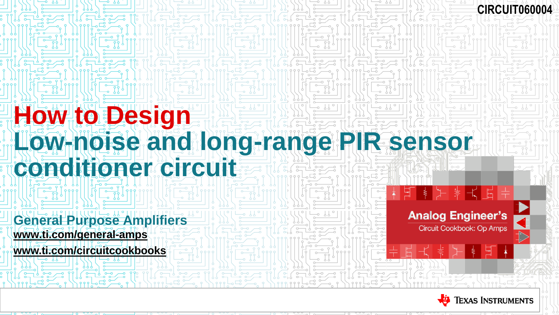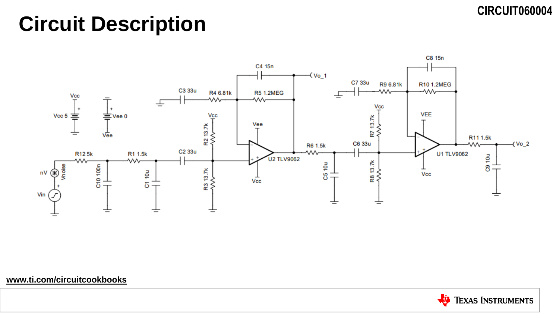## **Circuit Description**



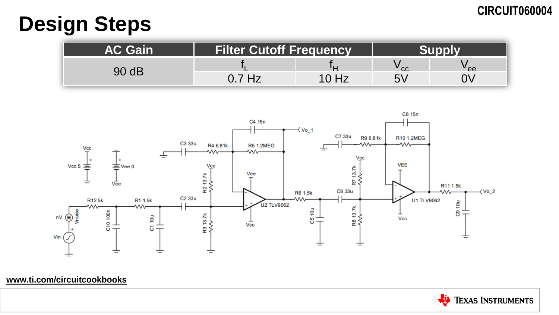## **Design Steps**

| AC Gain | <b>Filter Cutoff Frequency</b> |       |    |     |
|---------|--------------------------------|-------|----|-----|
| 90 dB   |                                |       | CC | 'ee |
|         | $0.7$ Hz                       | 10 Hz | い  |     |



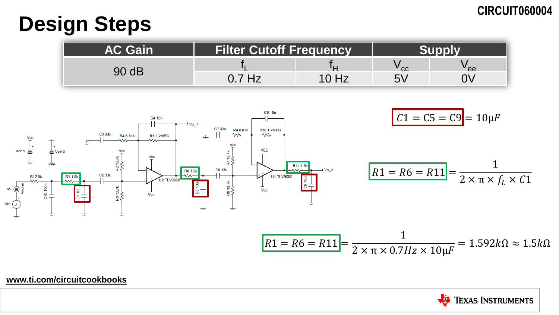## **Design Steps**

| <b>AC Gain</b> | <b>Filter Cutoff Frequency</b> |       |    |      |
|----------------|--------------------------------|-------|----|------|
| 90 dB          |                                |       | cc | " ee |
|                | Hz                             | 10 Hz | ら  |      |



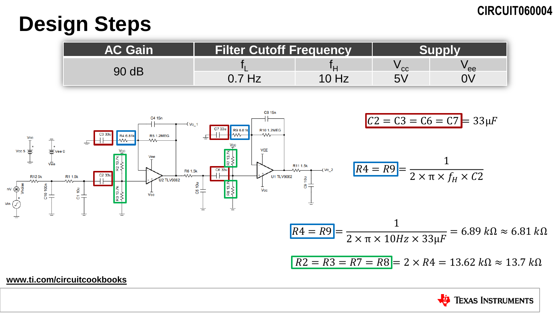## **Design Steps**

| <b>AC Gain</b> | <b>Filter Cutoff Frequency</b> |      |    |     |
|----------------|--------------------------------|------|----|-----|
| 90 dB          |                                |      | cc | 'ee |
|                | 7 Hz                           | 0 Hz | 5V |     |



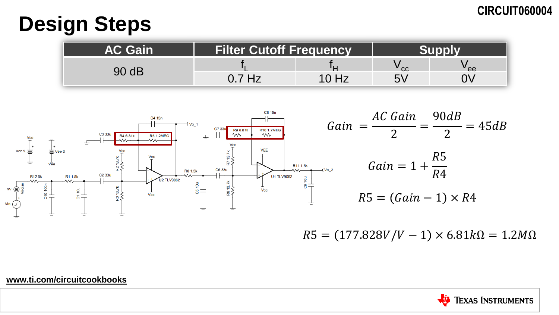## **Design Steps**

| <b>AC Gain</b> | <b>Filter Cutoff Frequency</b> |  |        |     |
|----------------|--------------------------------|--|--------|-----|
| 90 dB          |                                |  | $"$ cc | 'ee |
|                | .7 Hz                          |  | 5V     |     |



 $R5 = (177.828V/V - 1) \times 6.81k\Omega = 1.2M\Omega$ 

Jia **TEXAS INSTRUMENTS**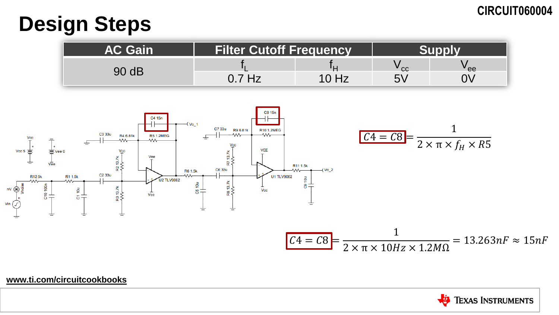## **Design Steps**

| <b>AC Gain</b> | <b>Filter Cutoff Frequency</b> |       |    |     |
|----------------|--------------------------------|-------|----|-----|
| 90 dB          |                                |       | cc | 'ee |
|                | Hz                             | 10 Hz | ら  |     |



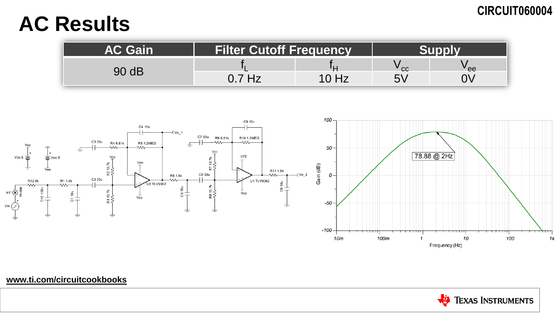## **AC Results**

| AC Gain | <b>Filter Cutoff Frequency</b> |       |      |      |
|---------|--------------------------------|-------|------|------|
| dB      |                                |       | ' cc | ' ee |
|         | $0.7$ Hz                       | 10 Hz | い    |      |



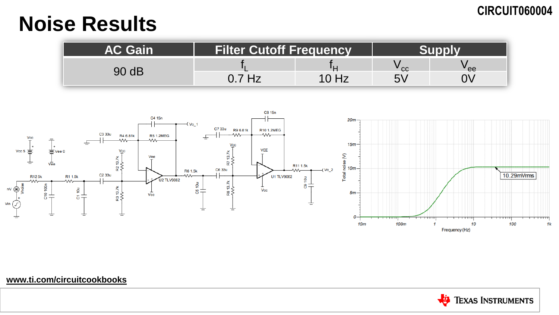## **Noise Results**

| <b>AC Gain</b> | <b>Filter Cutoff Frequency</b> |      |      |      |
|----------------|--------------------------------|------|------|------|
| ) dB           |                                |      | ' CC | ' ee |
|                | Hz                             | 0 Hz | F'   |      |



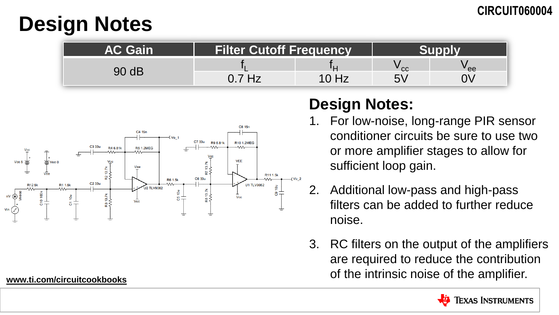## **Design Notes**

| <b>AC Gain</b> | <b>Filter Cutoff Frequency</b> |  |     |      |
|----------------|--------------------------------|--|-----|------|
|                |                                |  | CC. | ' ee |
|                | <b>Hz</b>                      |  | い   |      |



## **Design Notes:**

- 1. For low-noise, long-range PIR sensor conditioner circuits be sure to use two or more amplifier stages to allow for sufficient loop gain.
- 2. Additional low-pass and high-pass filters can be added to further reduce noise.
- 3. RC filters on the output of the amplifiers are required to reduce the contribution of the intrinsic noise of the amplifier.

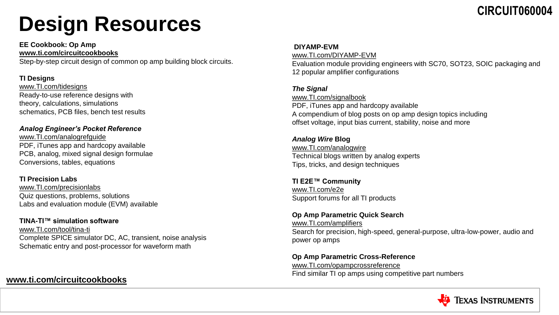# **Design Resources**

**EE Cookbook: Op Amp [www.ti.com/circuitcookbooks](http://www.ti.com/circuitcookbooks)**

Step-by-step circuit design of common op amp building block circuits.

#### **TI Designs**

[www.TI.com/tidesigns](http://www.ti.com/tidesigns) Ready-to-use reference designs with theory, calculations, simulations schematics, PCB files, bench test results

#### *Analog Engineer's Pocket Reference*

[www.TI.com/analogrefguide](http://www.ti.com/analogrefguide) PDF, iTunes app and hardcopy available PCB, analog, mixed signal design formulae Conversions, tables, equations

#### **TI Precision Labs**

[www.TI.com/precisionlabs](http://www.ti.com/precisionlabs) Quiz questions, problems, solutions Labs and evaluation module (EVM) available

### **TINA-TI™ simulation software**

[www.TI.com/tool/tina-ti](http://www.ti.com/tool/tina-ti) Complete SPICE simulator DC, AC, transient, noise analysis Schematic entry and post-processor for waveform math

### **[www.ti.com/circuitcookbooks](http://www.ti.com/circuitcookbooks)**

#### **DIYAMP-EVM**

[www.TI.com/DIYAMP-EVM](http://www.ti.com/DIYAMP-EVM) Evaluation module providing engineers with SC70, SOT23, SOIC packaging and 12 popular amplifier configurations

#### *The Signal*

[www.TI.com/signalbook](http://www.ti.com/signalbook) PDF, iTunes app and hardcopy available A compendium of blog posts on op amp design topics including offset voltage, input bias current, stability, noise and more

### *Analog Wire* **Blog** [www.TI.com/analogwire](http://www.ti.com/analogwire)

Technical blogs written by analog experts Tips, tricks, and design techniques

#### **TI E2E™ Community** [www.TI.com/e2e](http://www.ti.com/e2e) Support forums for all TI products

#### **Op Amp Parametric Quick Search**

[www.TI.com/amplifiers](http://www.ti.com/amplifiers) Search for precision, high-speed, general-purpose, ultra-low-power, audio and power op amps

#### **Op Amp Parametric Cross-Reference** [www.TI.com/opampcrossreference](http://www.ti.com/opampcrossreference) Find similar TI op amps using competitive part numbers